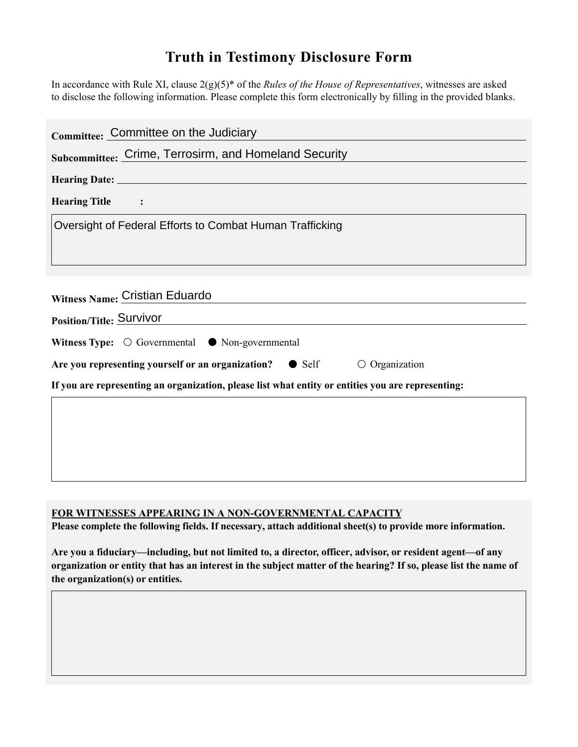## **Truth in Testimony Disclosure Form**

In accordance with Rule XI, clause 2(g)(5)\* of the *Rules of the House of Representatives*, witnesses are asked to disclose the following information. Please complete this form electronically by filling in the provided blanks.

| Committee: Committee on the Judiciary                                                              |
|----------------------------------------------------------------------------------------------------|
| Subcommittee: Crime, Terrosirm, and Homeland Security                                              |
|                                                                                                    |
| <b>Hearing Title</b><br>$\sim$ $\sim$ $\sim$ $\sim$                                                |
| Oversight of Federal Efforts to Combat Human Trafficking                                           |
|                                                                                                    |
|                                                                                                    |
| Witness Name: Cristian Eduardo                                                                     |
| Position/Title: Survivor                                                                           |
| Witness Type: $\bigcirc$ Governmental $\bullet$ Non-governmental                                   |
| Are you representing yourself or an organization? • Self<br>$\circ$ Organization                   |
| If you are representing an organization, please list what entity or entities you are representing: |
|                                                                                                    |
|                                                                                                    |
|                                                                                                    |
|                                                                                                    |

## **FOR WITNESSES APPEARING IN A NON-GOVERNMENTAL CAPACITY**

**Please complete the following fields. If necessary, attach additional sheet(s) to provide more information.**

**Are you a fiduciary—including, but not limited to, a director, officer, advisor, or resident agent—of any organization or entity that has an interest in the subject matter of the hearing? If so, please list the name of the organization(s) or entities.**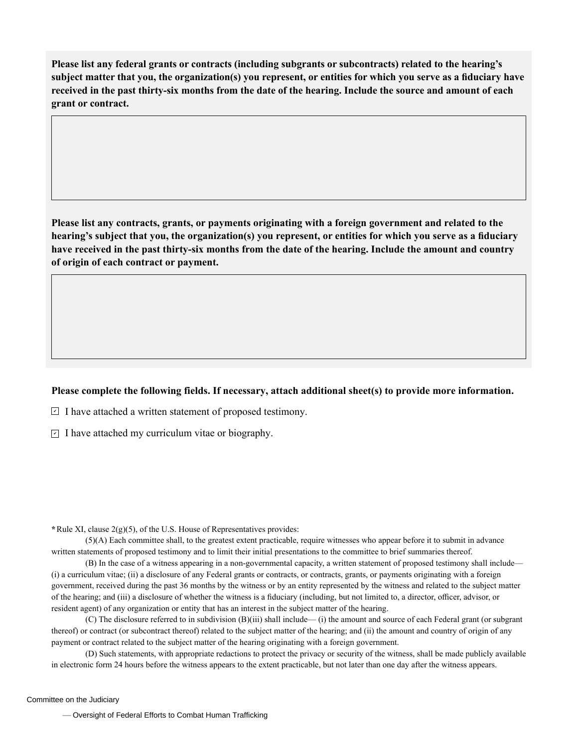**Please list any federal grants or contracts (including subgrants or subcontracts) related to the hearing's subject matter that you, the organization(s) you represent, or entities for which you serve as a fiduciary have received in the past thirty-six months from the date of the hearing. Include the source and amount of each grant or contract.** 

**Please list any contracts, grants, or payments originating with a foreign government and related to the hearing's subject that you, the organization(s) you represent, or entities for which you serve as a fiduciary have received in the past thirty-six months from the date of the hearing. Include the amount and country of origin of each contract or payment.** 

## **Please complete the following fields. If necessary, attach additional sheet(s) to provide more information.**

 $\exists$  I have attached a written statement of proposed testimony.

 $\subseteq$  I have attached my curriculum vitae or biography.

**\***Rule XI, clause 2(g)(5), of the U.S. House of Representatives provides:

(5)(A) Each committee shall, to the greatest extent practicable, require witnesses who appear before it to submit in advance written statements of proposed testimony and to limit their initial presentations to the committee to brief summaries thereof.

(B) In the case of a witness appearing in a non-governmental capacity, a written statement of proposed testimony shall include— (i) a curriculum vitae; (ii) a disclosure of any Federal grants or contracts, or contracts, grants, or payments originating with a foreign government, received during the past 36 months by the witness or by an entity represented by the witness and related to the subject matter of the hearing; and (iii) a disclosure of whether the witness is a fiduciary (including, but not limited to, a director, officer, advisor, or resident agent) of any organization or entity that has an interest in the subject matter of the hearing.

(C) The disclosure referred to in subdivision (B)(iii) shall include— (i) the amount and source of each Federal grant (or subgrant thereof) or contract (or subcontract thereof) related to the subject matter of the hearing; and (ii) the amount and country of origin of any payment or contract related to the subject matter of the hearing originating with a foreign government.

(D) Such statements, with appropriate redactions to protect the privacy or security of the witness, shall be made publicly available in electronic form 24 hours before the witness appears to the extent practicable, but not later than one day after the witness appears.

— Oversight of Federal Efforts to Combat Human Trafficking